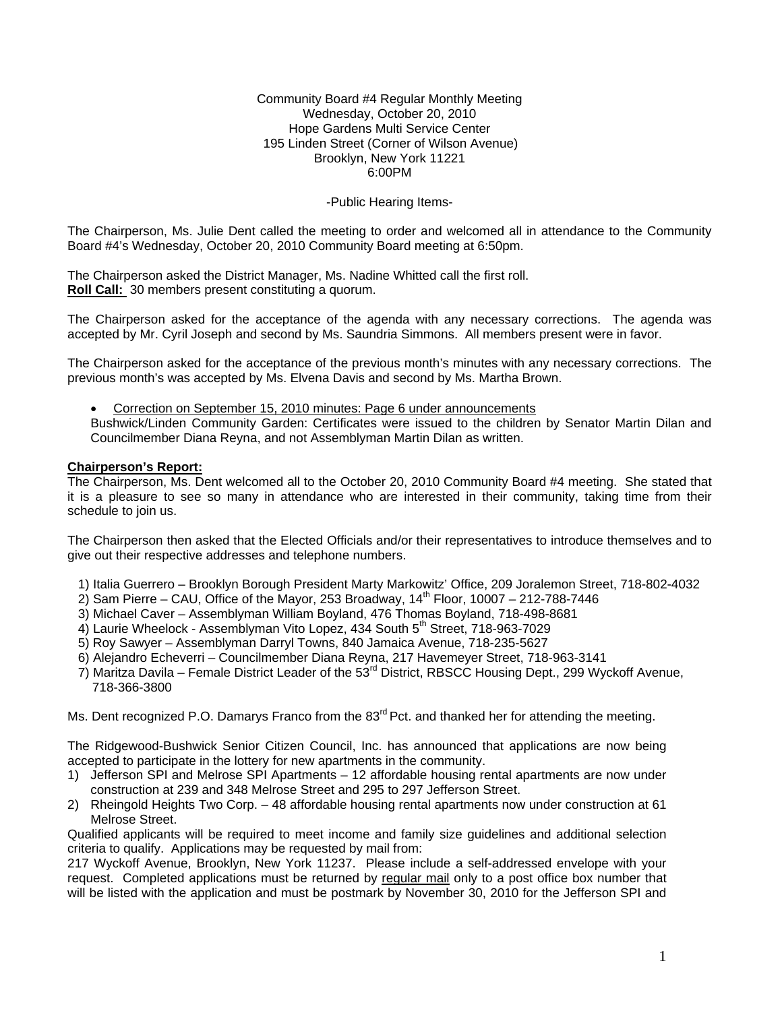#### Community Board #4 Regular Monthly Meeting Wednesday, October 20, 2010 Hope Gardens Multi Service Center 195 Linden Street (Corner of Wilson Avenue) Brooklyn, New York 11221 6:00PM

## -Public Hearing Items-

The Chairperson, Ms. Julie Dent called the meeting to order and welcomed all in attendance to the Community Board #4's Wednesday, October 20, 2010 Community Board meeting at 6:50pm.

The Chairperson asked the District Manager, Ms. Nadine Whitted call the first roll. **Roll Call:** 30 members present constituting a quorum.

The Chairperson asked for the acceptance of the agenda with any necessary corrections. The agenda was accepted by Mr. Cyril Joseph and second by Ms. Saundria Simmons. All members present were in favor.

The Chairperson asked for the acceptance of the previous month's minutes with any necessary corrections. The previous month's was accepted by Ms. Elvena Davis and second by Ms. Martha Brown.

• Correction on September 15, 2010 minutes: Page 6 under announcements

Bushwick/Linden Community Garden: Certificates were issued to the children by Senator Martin Dilan and Councilmember Diana Reyna, and not Assemblyman Martin Dilan as written.

#### **Chairperson's Report:**

The Chairperson, Ms. Dent welcomed all to the October 20, 2010 Community Board #4 meeting. She stated that it is a pleasure to see so many in attendance who are interested in their community, taking time from their schedule to join us.

The Chairperson then asked that the Elected Officials and/or their representatives to introduce themselves and to give out their respective addresses and telephone numbers.

- 1) Italia Guerrero Brooklyn Borough President Marty Markowitz' Office, 209 Joralemon Street, 718-802-4032
- $2)$  Sam Pierre CAU, Office of the Mayor, 253 Broadway, 14<sup>th</sup> Floor, 10007 212-788-7446
- 3) Michael Caver Assemblyman William Boyland, 476 Thomas Boyland, 718-498-8681
- 4) Laurie Wheelock Assemblyman Vito Lopez, 434 South 5<sup>th</sup> Street, 718-963-7029
- 5) Roy Sawyer Assemblyman Darryl Towns, 840 Jamaica Avenue, 718-235-5627
- 6) Alejandro Echeverri Councilmember Diana Reyna, 217 Havemeyer Street, 718-963-3141
- 7) Maritza Davila Female District Leader of the 53<sup>rd</sup> District, RBSCC Housing Dept., 299 Wyckoff Avenue, 718-366-3800

Ms. Dent recognized P.O. Damarys Franco from the 83<sup>rd</sup> Pct. and thanked her for attending the meeting.

The Ridgewood-Bushwick Senior Citizen Council, Inc. has announced that applications are now being accepted to participate in the lottery for new apartments in the community.

- 1) Jefferson SPI and Melrose SPI Apartments 12 affordable housing rental apartments are now under construction at 239 and 348 Melrose Street and 295 to 297 Jefferson Street.
- 2) Rheingold Heights Two Corp. 48 affordable housing rental apartments now under construction at 61 Melrose Street.

Qualified applicants will be required to meet income and family size guidelines and additional selection criteria to qualify. Applications may be requested by mail from:

217 Wyckoff Avenue, Brooklyn, New York 11237. Please include a self-addressed envelope with your request. Completed applications must be returned by regular mail only to a post office box number that will be listed with the application and must be postmark by November 30, 2010 for the Jefferson SPI and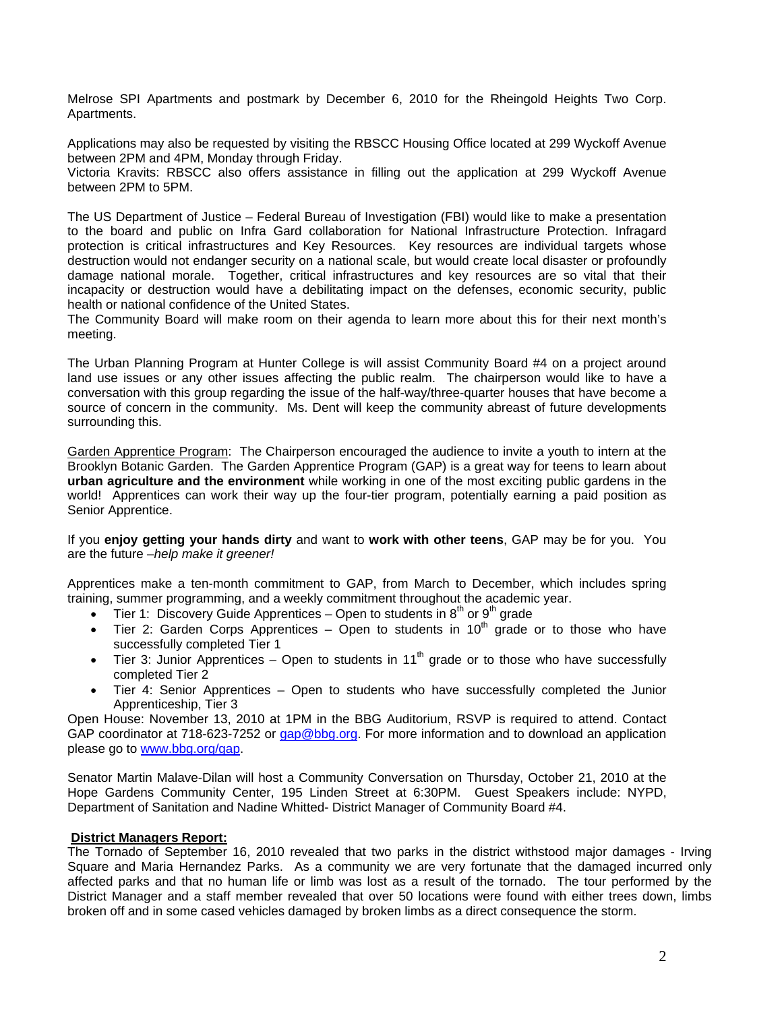Melrose SPI Apartments and postmark by December 6, 2010 for the Rheingold Heights Two Corp. Apartments.

Applications may also be requested by visiting the RBSCC Housing Office located at 299 Wyckoff Avenue between 2PM and 4PM, Monday through Friday.

Victoria Kravits: RBSCC also offers assistance in filling out the application at 299 Wyckoff Avenue between 2PM to 5PM.

The US Department of Justice – Federal Bureau of Investigation (FBI) would like to make a presentation to the board and public on Infra Gard collaboration for National Infrastructure Protection. Infragard protection is critical infrastructures and Key Resources. Key resources are individual targets whose destruction would not endanger security on a national scale, but would create local disaster or profoundly damage national morale. Together, critical infrastructures and key resources are so vital that their incapacity or destruction would have a debilitating impact on the defenses, economic security, public health or national confidence of the United States.

The Community Board will make room on their agenda to learn more about this for their next month's meeting.

The Urban Planning Program at Hunter College is will assist Community Board #4 on a project around land use issues or any other issues affecting the public realm. The chairperson would like to have a conversation with this group regarding the issue of the half-way/three-quarter houses that have become a source of concern in the community. Ms. Dent will keep the community abreast of future developments surrounding this.

Garden Apprentice Program: The Chairperson encouraged the audience to invite a youth to intern at the Brooklyn Botanic Garden. The Garden Apprentice Program (GAP) is a great way for teens to learn about **urban agriculture and the environment** while working in one of the most exciting public gardens in the world! Apprentices can work their way up the four-tier program, potentially earning a paid position as Senior Apprentice.

If you **enjoy getting your hands dirty** and want to **work with other teens**, GAP may be for you. You are the future –*help make it greener!*

Apprentices make a ten-month commitment to GAP, from March to December, which includes spring training, summer programming, and a weekly commitment throughout the academic year.

- Tier 1: Discovery Guide Apprentices Open to students in  $8^{th}$  or  $9^{th}$  grade
- Tier 2: Garden Corps Apprentices Open to students in  $10<sup>th</sup>$  grade or to those who have successfully completed Tier 1
- Tier 3: Junior Apprentices Open to students in 11<sup>th</sup> grade or to those who have successfully completed Tier 2
- Tier 4: Senior Apprentices Open to students who have successfully completed the Junior Apprenticeship, Tier 3

Open House: November 13, 2010 at 1PM in the BBG Auditorium, RSVP is required to attend. Contact GAP coordinator at 718-623-7252 or gap@bbg.org. For more information and to download an application please go to www.bbg.org/gap.

Senator Martin Malave-Dilan will host a Community Conversation on Thursday, October 21, 2010 at the Hope Gardens Community Center, 195 Linden Street at 6:30PM. Guest Speakers include: NYPD, Department of Sanitation and Nadine Whitted- District Manager of Community Board #4.

#### **District Managers Report:**

The Tornado of September 16, 2010 revealed that two parks in the district withstood major damages - Irving Square and Maria Hernandez Parks. As a community we are very fortunate that the damaged incurred only affected parks and that no human life or limb was lost as a result of the tornado. The tour performed by the District Manager and a staff member revealed that over 50 locations were found with either trees down, limbs broken off and in some cased vehicles damaged by broken limbs as a direct consequence the storm.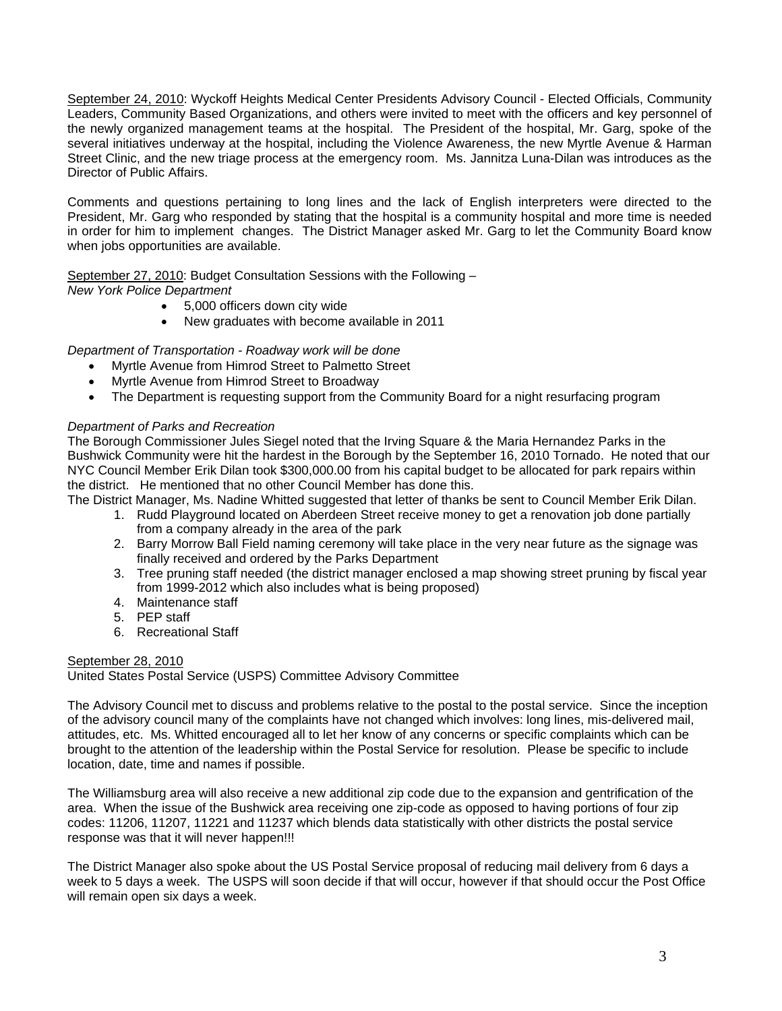September 24, 2010: Wyckoff Heights Medical Center Presidents Advisory Council - Elected Officials, Community Leaders, Community Based Organizations, and others were invited to meet with the officers and key personnel of the newly organized management teams at the hospital. The President of the hospital, Mr. Garg, spoke of the several initiatives underway at the hospital, including the Violence Awareness, the new Myrtle Avenue & Harman Street Clinic, and the new triage process at the emergency room. Ms. Jannitza Luna-Dilan was introduces as the Director of Public Affairs.

Comments and questions pertaining to long lines and the lack of English interpreters were directed to the President, Mr. Garg who responded by stating that the hospital is a community hospital and more time is needed in order for him to implement changes. The District Manager asked Mr. Garg to let the Community Board know when jobs opportunities are available.

September 27, 2010: Budget Consultation Sessions with the Following –

*New York Police Department* 

- 5,000 officers down city wide
- New graduates with become available in 2011

# *Department of Transportation - Roadway work will be done*

- Myrtle Avenue from Himrod Street to Palmetto Street
- Myrtle Avenue from Himrod Street to Broadway
- The Department is requesting support from the Community Board for a night resurfacing program

# *Department of Parks and Recreation*

The Borough Commissioner Jules Siegel noted that the Irving Square & the Maria Hernandez Parks in the Bushwick Community were hit the hardest in the Borough by the September 16, 2010 Tornado. He noted that our NYC Council Member Erik Dilan took \$300,000.00 from his capital budget to be allocated for park repairs within the district. He mentioned that no other Council Member has done this.

The District Manager, Ms. Nadine Whitted suggested that letter of thanks be sent to Council Member Erik Dilan.

- 1. Rudd Playground located on Aberdeen Street receive money to get a renovation job done partially from a company already in the area of the park
- 2. Barry Morrow Ball Field naming ceremony will take place in the very near future as the signage was finally received and ordered by the Parks Department
- 3. Tree pruning staff needed (the district manager enclosed a map showing street pruning by fiscal year from 1999-2012 which also includes what is being proposed)
- 4. Maintenance staff
- 5. PEP staff
- 6. Recreational Staff

# September 28, 2010

United States Postal Service (USPS) Committee Advisory Committee

The Advisory Council met to discuss and problems relative to the postal to the postal service. Since the inception of the advisory council many of the complaints have not changed which involves: long lines, mis-delivered mail, attitudes, etc. Ms. Whitted encouraged all to let her know of any concerns or specific complaints which can be brought to the attention of the leadership within the Postal Service for resolution. Please be specific to include location, date, time and names if possible.

The Williamsburg area will also receive a new additional zip code due to the expansion and gentrification of the area. When the issue of the Bushwick area receiving one zip-code as opposed to having portions of four zip codes: 11206, 11207, 11221 and 11237 which blends data statistically with other districts the postal service response was that it will never happen!!!

The District Manager also spoke about the US Postal Service proposal of reducing mail delivery from 6 days a week to 5 days a week. The USPS will soon decide if that will occur, however if that should occur the Post Office will remain open six days a week.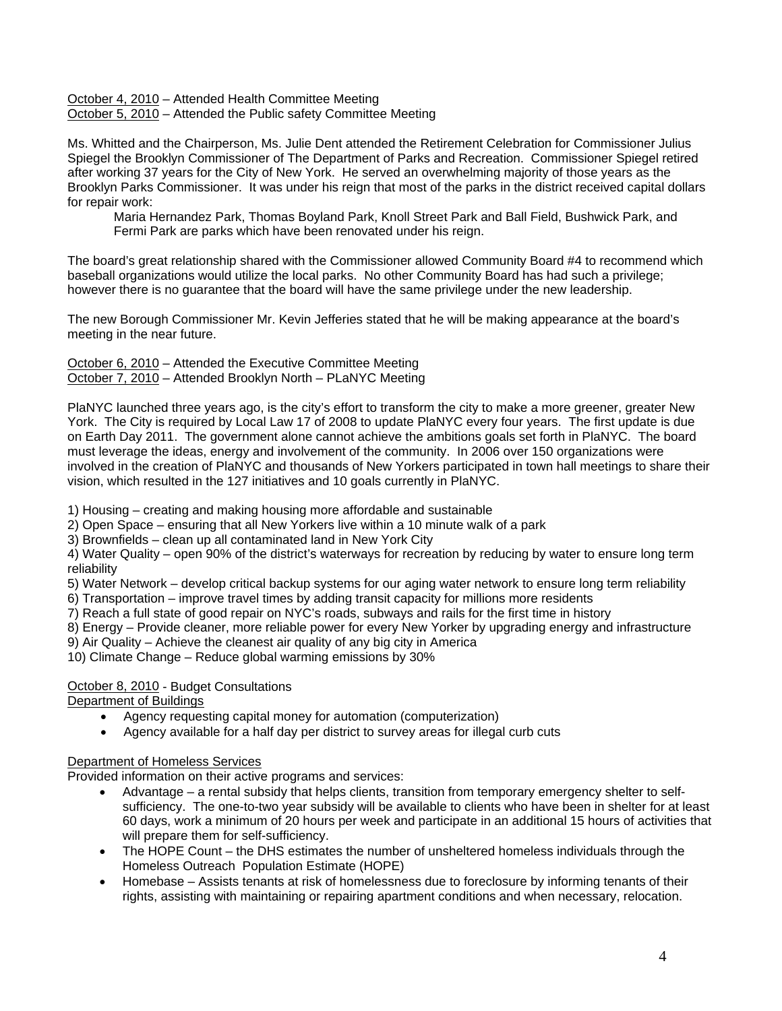October 4, 2010 - Attended Health Committee Meeting October 5, 2010 – Attended the Public safety Committee Meeting

Ms. Whitted and the Chairperson, Ms. Julie Dent attended the Retirement Celebration for Commissioner Julius Spiegel the Brooklyn Commissioner of The Department of Parks and Recreation. Commissioner Spiegel retired after working 37 years for the City of New York. He served an overwhelming majority of those years as the Brooklyn Parks Commissioner. It was under his reign that most of the parks in the district received capital dollars for repair work:

Maria Hernandez Park, Thomas Boyland Park, Knoll Street Park and Ball Field, Bushwick Park, and Fermi Park are parks which have been renovated under his reign.

The board's great relationship shared with the Commissioner allowed Community Board #4 to recommend which baseball organizations would utilize the local parks. No other Community Board has had such a privilege; however there is no guarantee that the board will have the same privilege under the new leadership.

The new Borough Commissioner Mr. Kevin Jefferies stated that he will be making appearance at the board's meeting in the near future.

October 6, 2010 – Attended the Executive Committee Meeting October 7, 2010 – Attended Brooklyn North – PLaNYC Meeting

PlaNYC launched three years ago, is the city's effort to transform the city to make a more greener, greater New York. The City is required by Local Law 17 of 2008 to update PlaNYC every four years. The first update is due on Earth Day 2011. The government alone cannot achieve the ambitions goals set forth in PlaNYC. The board must leverage the ideas, energy and involvement of the community. In 2006 over 150 organizations were involved in the creation of PlaNYC and thousands of New Yorkers participated in town hall meetings to share their vision, which resulted in the 127 initiatives and 10 goals currently in PlaNYC.

1) Housing – creating and making housing more affordable and sustainable

- 2) Open Space ensuring that all New Yorkers live within a 10 minute walk of a park
- 3) Brownfields clean up all contaminated land in New York City

4) Water Quality – open 90% of the district's waterways for recreation by reducing by water to ensure long term reliability

- 5) Water Network develop critical backup systems for our aging water network to ensure long term reliability
- 6) Transportation improve travel times by adding transit capacity for millions more residents
- 7) Reach a full state of good repair on NYC's roads, subways and rails for the first time in history
- 8) Energy Provide cleaner, more reliable power for every New Yorker by upgrading energy and infrastructure
- 9) Air Quality Achieve the cleanest air quality of any big city in America
- 10) Climate Change Reduce global warming emissions by 30%

# October 8, 2010 - Budget Consultations

Department of Buildings

- Agency requesting capital money for automation (computerization)
- Agency available for a half day per district to survey areas for illegal curb cuts

# Department of Homeless Services

Provided information on their active programs and services:

- Advantage a rental subsidy that helps clients, transition from temporary emergency shelter to selfsufficiency. The one-to-two year subsidy will be available to clients who have been in shelter for at least 60 days, work a minimum of 20 hours per week and participate in an additional 15 hours of activities that will prepare them for self-sufficiency.
- The HOPE Count the DHS estimates the number of unsheltered homeless individuals through the Homeless Outreach Population Estimate (HOPE)
- Homebase Assists tenants at risk of homelessness due to foreclosure by informing tenants of their rights, assisting with maintaining or repairing apartment conditions and when necessary, relocation.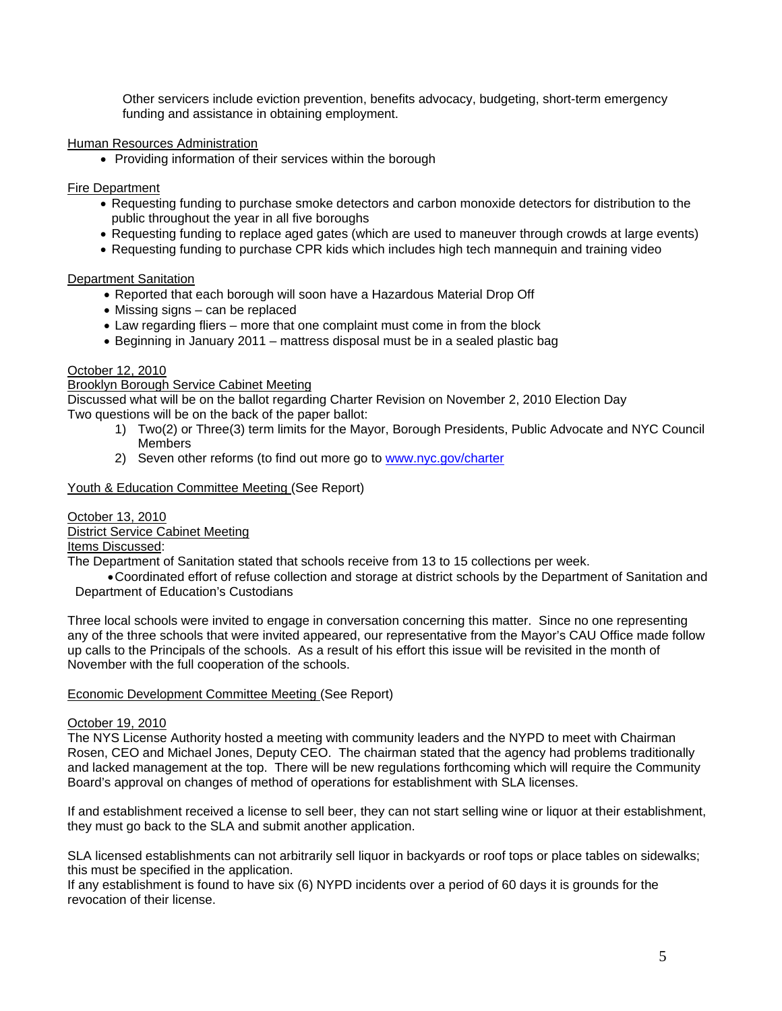Other servicers include eviction prevention, benefits advocacy, budgeting, short-term emergency funding and assistance in obtaining employment.

## Human Resources Administration

• Providing information of their services within the borough

## Fire Department

- Requesting funding to purchase smoke detectors and carbon monoxide detectors for distribution to the public throughout the year in all five boroughs
- Requesting funding to replace aged gates (which are used to maneuver through crowds at large events)
- Requesting funding to purchase CPR kids which includes high tech mannequin and training video

## Department Sanitation

- Reported that each borough will soon have a Hazardous Material Drop Off
- Missing signs can be replaced
- Law regarding fliers more that one complaint must come in from the block
- Beginning in January 2011 mattress disposal must be in a sealed plastic bag

## October 12, 2010

# **Brooklyn Borough Service Cabinet Meeting**

Discussed what will be on the ballot regarding Charter Revision on November 2, 2010 Election Day Two questions will be on the back of the paper ballot:

- 1) Two(2) or Three(3) term limits for the Mayor, Borough Presidents, Public Advocate and NYC Council **Members**
- 2) Seven other reforms (to find out more go to www.nyc.gov/charter

Youth & Education Committee Meeting (See Report)

#### October 13, 2010

#### District Service Cabinet Meeting

Items Discussed:

The Department of Sanitation stated that schools receive from 13 to 15 collections per week.

• Coordinated effort of refuse collection and storage at district schools by the Department of Sanitation and Department of Education's Custodians

Three local schools were invited to engage in conversation concerning this matter. Since no one representing any of the three schools that were invited appeared, our representative from the Mayor's CAU Office made follow up calls to the Principals of the schools. As a result of his effort this issue will be revisited in the month of November with the full cooperation of the schools.

#### Economic Development Committee Meeting (See Report)

#### October 19, 2010

The NYS License Authority hosted a meeting with community leaders and the NYPD to meet with Chairman Rosen, CEO and Michael Jones, Deputy CEO. The chairman stated that the agency had problems traditionally and lacked management at the top. There will be new regulations forthcoming which will require the Community Board's approval on changes of method of operations for establishment with SLA licenses.

If and establishment received a license to sell beer, they can not start selling wine or liquor at their establishment, they must go back to the SLA and submit another application.

SLA licensed establishments can not arbitrarily sell liquor in backyards or roof tops or place tables on sidewalks; this must be specified in the application.

If any establishment is found to have six (6) NYPD incidents over a period of 60 days it is grounds for the revocation of their license.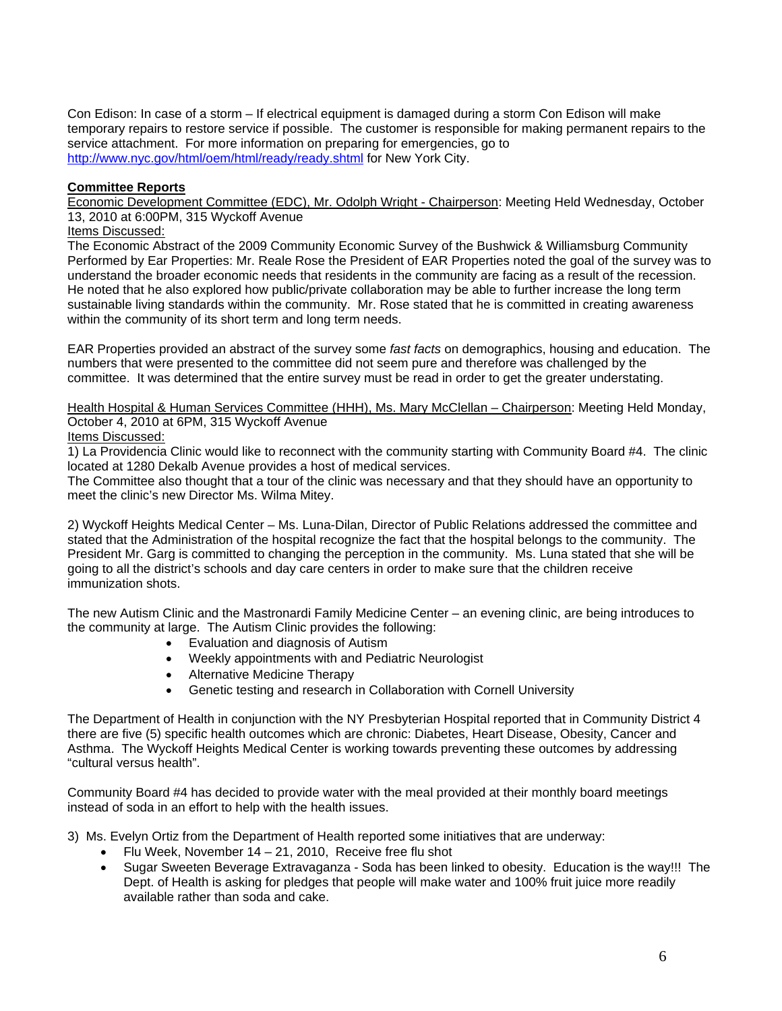Con Edison: In case of a storm – If electrical equipment is damaged during a storm Con Edison will make temporary repairs to restore service if possible. The customer is responsible for making permanent repairs to the service attachment. For more information on preparing for emergencies, go to http://www.nyc.gov/html/oem/html/ready/ready.shtml for New York City.

## **Committee Reports**

Economic Development Committee (EDC), Mr. Odolph Wright - Chairperson: Meeting Held Wednesday, October 13, 2010 at 6:00PM, 315 Wyckoff Avenue

## Items Discussed:

The Economic Abstract of the 2009 Community Economic Survey of the Bushwick & Williamsburg Community Performed by Ear Properties: Mr. Reale Rose the President of EAR Properties noted the goal of the survey was to understand the broader economic needs that residents in the community are facing as a result of the recession. He noted that he also explored how public/private collaboration may be able to further increase the long term sustainable living standards within the community. Mr. Rose stated that he is committed in creating awareness within the community of its short term and long term needs.

EAR Properties provided an abstract of the survey some *fast facts* on demographics, housing and education. The numbers that were presented to the committee did not seem pure and therefore was challenged by the committee. It was determined that the entire survey must be read in order to get the greater understating.

Health Hospital & Human Services Committee (HHH), Ms. Mary McClellan – Chairperson: Meeting Held Monday, October 4, 2010 at 6PM, 315 Wyckoff Avenue

Items Discussed:

1) La Providencia Clinic would like to reconnect with the community starting with Community Board #4. The clinic located at 1280 Dekalb Avenue provides a host of medical services.

The Committee also thought that a tour of the clinic was necessary and that they should have an opportunity to meet the clinic's new Director Ms. Wilma Mitey.

2) Wyckoff Heights Medical Center – Ms. Luna-Dilan, Director of Public Relations addressed the committee and stated that the Administration of the hospital recognize the fact that the hospital belongs to the community. The President Mr. Garg is committed to changing the perception in the community. Ms. Luna stated that she will be going to all the district's schools and day care centers in order to make sure that the children receive immunization shots.

The new Autism Clinic and the Mastronardi Family Medicine Center – an evening clinic, are being introduces to the community at large. The Autism Clinic provides the following:

- Evaluation and diagnosis of Autism
- Weekly appointments with and Pediatric Neurologist
- Alternative Medicine Therapy
- Genetic testing and research in Collaboration with Cornell University

The Department of Health in conjunction with the NY Presbyterian Hospital reported that in Community District 4 there are five (5) specific health outcomes which are chronic: Diabetes, Heart Disease, Obesity, Cancer and Asthma. The Wyckoff Heights Medical Center is working towards preventing these outcomes by addressing "cultural versus health".

Community Board #4 has decided to provide water with the meal provided at their monthly board meetings instead of soda in an effort to help with the health issues.

3) Ms. Evelyn Ortiz from the Department of Health reported some initiatives that are underway:

- Flu Week, November  $14 21$ , 2010, Receive free flu shot
- Sugar Sweeten Beverage Extravaganza Soda has been linked to obesity. Education is the way!!! The Dept. of Health is asking for pledges that people will make water and 100% fruit juice more readily available rather than soda and cake.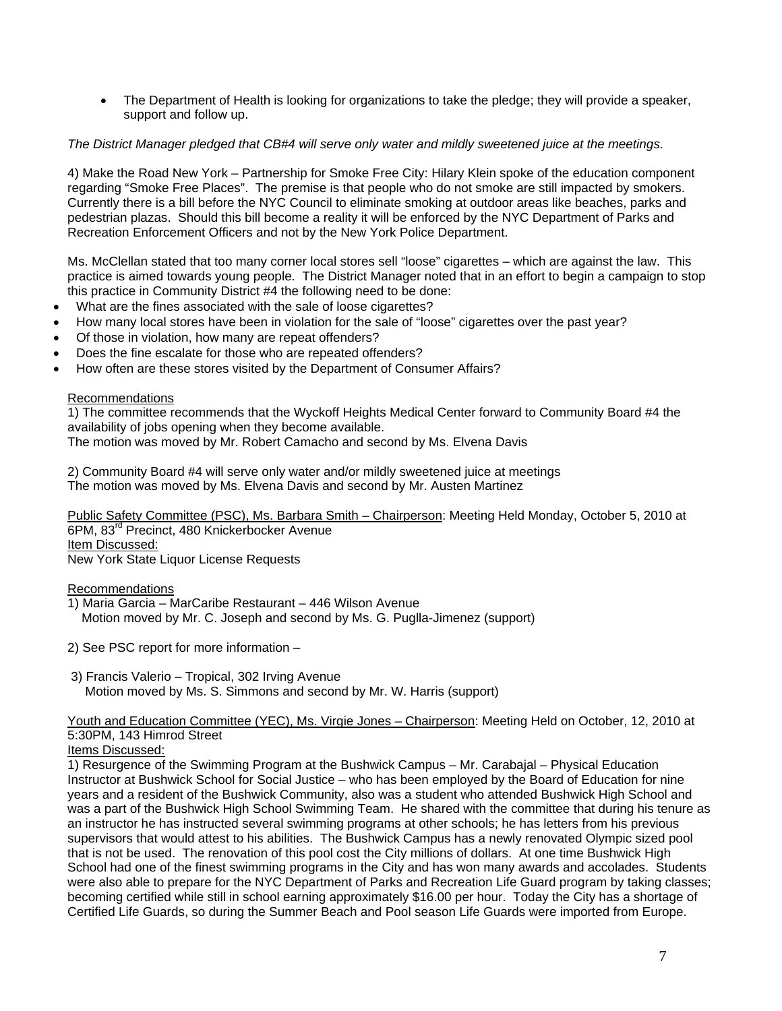• The Department of Health is looking for organizations to take the pledge; they will provide a speaker, support and follow up.

# *The District Manager pledged that CB#4 will serve only water and mildly sweetened juice at the meetings.*

4) Make the Road New York – Partnership for Smoke Free City: Hilary Klein spoke of the education component regarding "Smoke Free Places". The premise is that people who do not smoke are still impacted by smokers. Currently there is a bill before the NYC Council to eliminate smoking at outdoor areas like beaches, parks and pedestrian plazas. Should this bill become a reality it will be enforced by the NYC Department of Parks and Recreation Enforcement Officers and not by the New York Police Department.

Ms. McClellan stated that too many corner local stores sell "loose" cigarettes – which are against the law. This practice is aimed towards young people. The District Manager noted that in an effort to begin a campaign to stop this practice in Community District #4 the following need to be done:

- What are the fines associated with the sale of loose cigarettes?
- How many local stores have been in violation for the sale of "loose" cigarettes over the past year?
- Of those in violation, how many are repeat offenders?
- Does the fine escalate for those who are repeated offenders?
- How often are these stores visited by the Department of Consumer Affairs?

## Recommendations

1) The committee recommends that the Wyckoff Heights Medical Center forward to Community Board #4 the availability of jobs opening when they become available.

The motion was moved by Mr. Robert Camacho and second by Ms. Elvena Davis

2) Community Board #4 will serve only water and/or mildly sweetened juice at meetings The motion was moved by Ms. Elvena Davis and second by Mr. Austen Martinez

Public Safety Committee (PSC), Ms. Barbara Smith – Chairperson: Meeting Held Monday, October 5, 2010 at 6PM, 83<sup>rd</sup> Precinct, 480 Knickerbocker Avenue Item Discussed: New York State Liquor License Requests

Recommendations

- 1) Maria Garcia MarCaribe Restaurant 446 Wilson Avenue Motion moved by Mr. C. Joseph and second by Ms. G. Puglla-Jimenez (support)
- 2) See PSC report for more information –
- 3) Francis Valerio Tropical, 302 Irving Avenue Motion moved by Ms. S. Simmons and second by Mr. W. Harris (support)

Youth and Education Committee (YEC), Ms. Virgie Jones – Chairperson: Meeting Held on October, 12, 2010 at 5:30PM, 143 Himrod Street

Items Discussed:

1) Resurgence of the Swimming Program at the Bushwick Campus – Mr. Carabajal – Physical Education Instructor at Bushwick School for Social Justice – who has been employed by the Board of Education for nine years and a resident of the Bushwick Community, also was a student who attended Bushwick High School and was a part of the Bushwick High School Swimming Team. He shared with the committee that during his tenure as an instructor he has instructed several swimming programs at other schools; he has letters from his previous supervisors that would attest to his abilities. The Bushwick Campus has a newly renovated Olympic sized pool that is not be used. The renovation of this pool cost the City millions of dollars. At one time Bushwick High School had one of the finest swimming programs in the City and has won many awards and accolades. Students were also able to prepare for the NYC Department of Parks and Recreation Life Guard program by taking classes; becoming certified while still in school earning approximately \$16.00 per hour. Today the City has a shortage of Certified Life Guards, so during the Summer Beach and Pool season Life Guards were imported from Europe.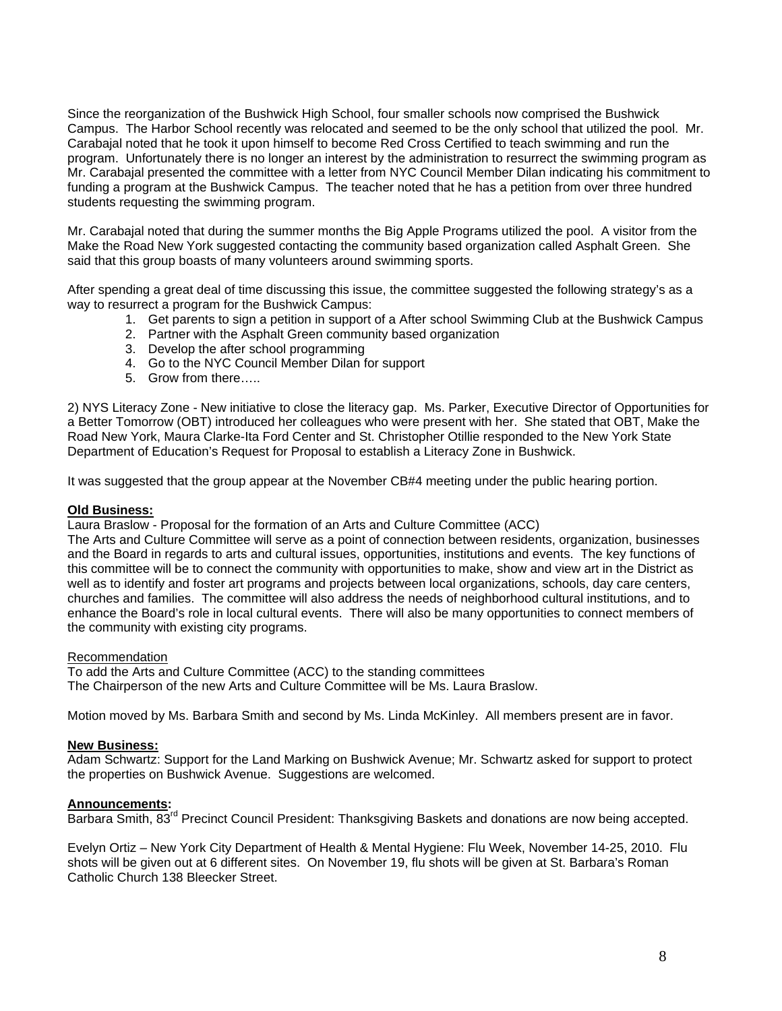Since the reorganization of the Bushwick High School, four smaller schools now comprised the Bushwick Campus. The Harbor School recently was relocated and seemed to be the only school that utilized the pool. Mr. Carabajal noted that he took it upon himself to become Red Cross Certified to teach swimming and run the program. Unfortunately there is no longer an interest by the administration to resurrect the swimming program as Mr. Carabajal presented the committee with a letter from NYC Council Member Dilan indicating his commitment to funding a program at the Bushwick Campus. The teacher noted that he has a petition from over three hundred students requesting the swimming program.

Mr. Carabajal noted that during the summer months the Big Apple Programs utilized the pool. A visitor from the Make the Road New York suggested contacting the community based organization called Asphalt Green. She said that this group boasts of many volunteers around swimming sports.

After spending a great deal of time discussing this issue, the committee suggested the following strategy's as a way to resurrect a program for the Bushwick Campus:

- 1. Get parents to sign a petition in support of a After school Swimming Club at the Bushwick Campus
- 2. Partner with the Asphalt Green community based organization
- 3. Develop the after school programming
- 4. Go to the NYC Council Member Dilan for support
- 5. Grow from there…..

2) NYS Literacy Zone - New initiative to close the literacy gap. Ms. Parker, Executive Director of Opportunities for a Better Tomorrow (OBT) introduced her colleagues who were present with her. She stated that OBT, Make the Road New York, Maura Clarke-Ita Ford Center and St. Christopher Otillie responded to the New York State Department of Education's Request for Proposal to establish a Literacy Zone in Bushwick.

It was suggested that the group appear at the November CB#4 meeting under the public hearing portion.

#### **Old Business:**

Laura Braslow - Proposal for the formation of an Arts and Culture Committee (ACC)

The Arts and Culture Committee will serve as a point of connection between residents, organization, businesses and the Board in regards to arts and cultural issues, opportunities, institutions and events. The key functions of this committee will be to connect the community with opportunities to make, show and view art in the District as well as to identify and foster art programs and projects between local organizations, schools, day care centers, churches and families. The committee will also address the needs of neighborhood cultural institutions, and to enhance the Board's role in local cultural events. There will also be many opportunities to connect members of the community with existing city programs.

#### Recommendation

To add the Arts and Culture Committee (ACC) to the standing committees

The Chairperson of the new Arts and Culture Committee will be Ms. Laura Braslow.

Motion moved by Ms. Barbara Smith and second by Ms. Linda McKinley. All members present are in favor.

## **New Business:**

Adam Schwartz: Support for the Land Marking on Bushwick Avenue; Mr. Schwartz asked for support to protect the properties on Bushwick Avenue. Suggestions are welcomed.

#### **Announcements:**

Barbara Smith, 83<sup>rd</sup> Precinct Council President: Thanksgiving Baskets and donations are now being accepted.

Evelyn Ortiz – New York City Department of Health & Mental Hygiene: Flu Week, November 14-25, 2010. Flu shots will be given out at 6 different sites. On November 19, flu shots will be given at St. Barbara's Roman Catholic Church 138 Bleecker Street.